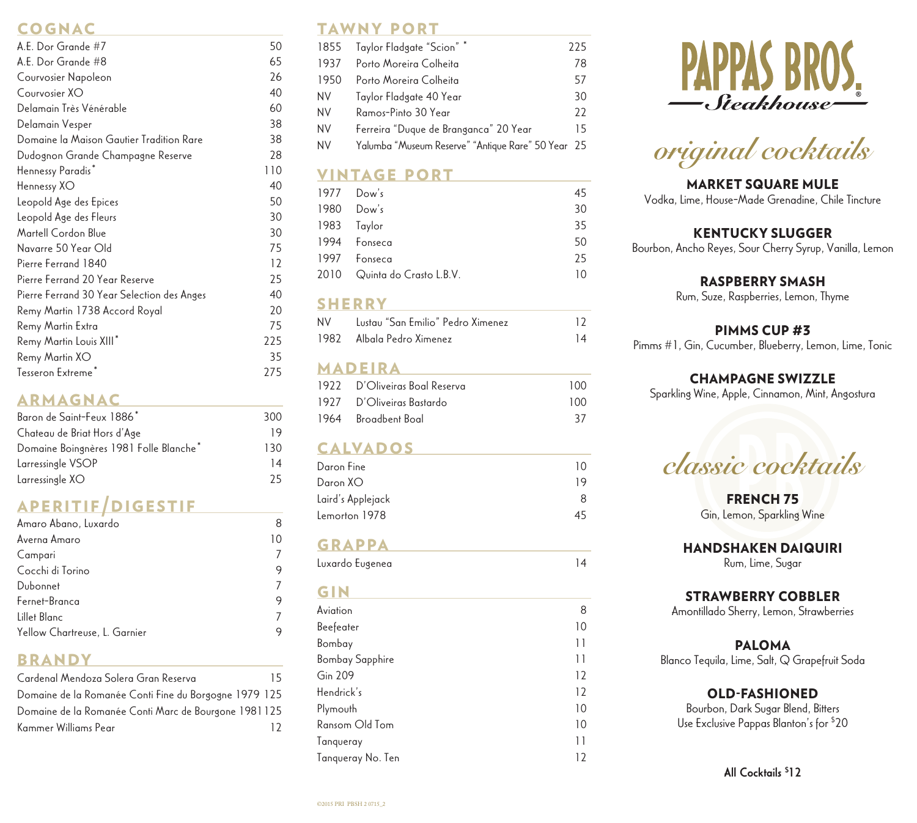# **COGNAC**

| A.E. Dor Grande #7                         | 50  |
|--------------------------------------------|-----|
| A.E. Dor Grande #8                         | 65  |
| Courvosier Napoleon                        | 26  |
| Courvosier XO                              | 40  |
| Delamain Très Vénérable                    | 60  |
| Delamain Vesper                            | 38  |
| Domaine la Maison Gautier Tradition Rare   | 38  |
| Dudognon Grande Champagne Reserve          | 28  |
| Hennessy Paradis*                          | 110 |
| Hennessy XO                                | 40  |
| Leopold Age des Epices                     | 50  |
| Leopold Age des Fleurs                     | 30  |
| Martell Cordon Blue                        | 30  |
| Navarre 50 Year Old                        | 75  |
| Pierre Ferrand 1840                        | 12  |
| Pierre Ferrand 20 Year Reserve             | 25  |
| Pierre Ferrand 30 Year Selection des Anges | 40  |
| Remy Martin 1738 Accord Royal              | 20  |
| Remy Martin Extra                          | 75  |
| Remy Martin Louis XIII*                    | 225 |
| Remy Martin XO                             | 35  |
| Tesseron Extreme <sup>*</sup>              | 275 |

#### **ARMAGNAC**

| Baron de Saint-Feux 1886*              | 300 |
|----------------------------------------|-----|
| Chateau de Briat Hors d'Age            | 19  |
| Domaine Boingnères 1981 Folle Blanche* | 130 |
| Larressingle VSOP                      | 14  |
| Larressingle XO                        | 25  |

# APERITIF/DIGESTIF

| Amaro Abano, Luxardo          |    |
|-------------------------------|----|
| Averna Amaro                  | 10 |
| Campari                       |    |
| Cocchi di Torino              | 9  |
| Dubonnet                      |    |
| Fernet-Branca                 | 9  |
| Lillet Blanc                  | 7  |
| Yellow Chartreuse, L. Garnier | 9  |
|                               |    |

#### **BRANDY**

| Cardenal Mendoza Solera Gran Reserva                  | 15 |
|-------------------------------------------------------|----|
| Domaine de la Romanée Conti Fine du Borgogne 1979 125 |    |
| Domaine de la Romanée Conti Marc de Bourgone 1981 125 |    |
| Kammer Williams Pear                                  | 12 |

# TAWNY PORT

|           | 1855 Taylor Fladgate "Scion" *                     | 225 |
|-----------|----------------------------------------------------|-----|
| 1937      | Porto Moreira Colheita                             | 78  |
| 1950      | Porto Moreira Colheita                             | 57  |
| <b>NV</b> | Taylor Fladgate 40 Year                            | 30  |
| <b>NV</b> | Ramos-Pinto 30 Year                                | 22  |
| <b>NV</b> | Ferreira "Duque de Branganca" 20 Year              | 15  |
| NV        | Yalumba "Museum Reserve" "Antique Rare" 50 Year 25 |     |

# **VINTAGE PORT**

|      | 1977 Dow's                   | 45 |
|------|------------------------------|----|
|      | 1980 Dow's                   | 30 |
|      | 1983 Taylor                  | 35 |
|      | 1994 Fonseca                 | 50 |
| 1997 | Fonseca                      | 25 |
|      | 2010 Quinta do Crasto L.B.V. | 10 |
|      |                              |    |

#### **SHERRY**

| NV I | Lustau "San Emilio" Pedro Ximenez | 12 |
|------|-----------------------------------|----|
|      | 1982 Albala Pedro Ximenez         | 14 |

### **MADEIRA**

| 1922 D'Oliveiras Boal Reserva | 100 |
|-------------------------------|-----|
| 1927 D'Oliveiras Bastardo     | 100 |
| 1964 Broadbent Boal           | 37  |

### **CALVADOS**

| $\cup$ |
|--------|
| 19     |
| я      |
| 45     |
|        |

# **GRAPPA**

| Luxardo Eugenea | 14 |
|-----------------|----|
|-----------------|----|

### **GIN**

| Aviation               | 8  |
|------------------------|----|
| Beefeater              | 10 |
| Bombay                 | 11 |
| <b>Bombay Sapphire</b> | 11 |
| <b>Gin 209</b>         | 12 |
| Hendrick's             | 12 |
| Plymouth               | 10 |
| Ransom Old Tom         | 10 |
| Tangueray              | 11 |
| Tanqueray No. Ten      | 12 |





# MARKET SQUARE MULE

Vodka, Lime, House-Made Grenadine, Chile Tincture

#### KENTUCKY SLUGGER

Bourbon, Ancho Reyes, Sour Cherry Syrup, Vanilla, Lemon

#### RASPBERRY SMASH

Rum, Suze, Raspberries, Lemon, Thyme

#### PIMMS CUP #3

Pimms #1, Gin, Cucumber, Blueberry, Lemon, Lime, Tonic

#### CHAMPAGNE SWIZZLE

Sparkling Wine, Apple, Cinnamon, Mint, Angostura

*classic cocktails*

FRENCH 75 Gin, Lemon, Sparkling Wine

#### HANDSHAKEN DAIQUIRI

Rum, Lime, Sugar

#### STRAWBERRY COBBLER

Amontillado Sherry, Lemon, Strawberries

#### PALOMA

Blanco Tequila, Lime, Salt, Q Grapefruit Soda

#### OLD-FASHIONED

Bourbon, Dark Sugar Blend, Bitters Use Exclusive Pappas Blanton's for \$ 20